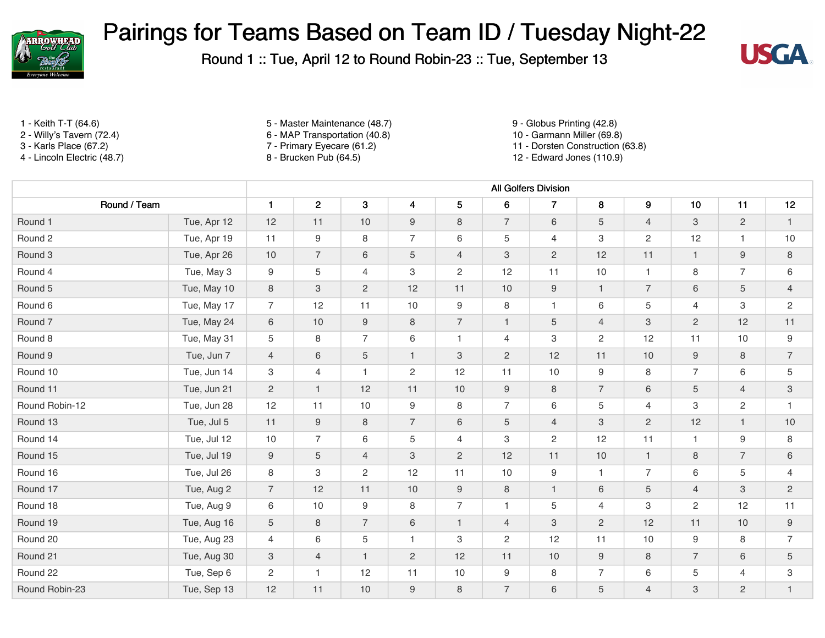

Round 1 :: Tue, April 12 to Round Robin-23 :: Tue, September 13



- 
- 
- 
- 

1 - Keith T-T (64.6) 5 - Master Maintenance (48.7) 9 - Globus Printing (42.8)

- 2 Willy's Tavern (72.4) 6 MAP Transportation (40.8) 10 Garmann Miller (69.8)
	-

3 - Karls Place (67.2) 7 - Primary Eyecare (61.2) 11 - Dorsten Construction (63.8)

12 - Edward Jones (110.9)

|                |             | <b>All Golfers Division</b> |                  |                 |                  |                           |                  |                           |                |                |                           |                  |                           |
|----------------|-------------|-----------------------------|------------------|-----------------|------------------|---------------------------|------------------|---------------------------|----------------|----------------|---------------------------|------------------|---------------------------|
| Round / Team   |             | $\mathbf{1}$                | $\overline{2}$   | 3               | $\boldsymbol{4}$ | 5                         | 6                | $\overline{\phantom{a}}$  | 8              | 9              | 10                        | 11               | 12                        |
| Round 1        | Tue, Apr 12 | 12                          | 11               | 10              | 9                | 8                         | $\overline{7}$   | 6                         | 5              | $\overline{4}$ | 3                         | $\overline{2}$   | $\mathbf{1}$              |
| Round 2        | Tue, Apr 19 | 11                          | 9                | 8               | $\overline{7}$   | 6                         | 5                | $\overline{4}$            | 3              | $\overline{2}$ | 12                        | $\mathbf{1}$     | 10                        |
| Round 3        | Tue, Apr 26 | 10                          | $\overline{7}$   | 6               | 5                | $\overline{4}$            | 3                | $\overline{2}$            | 12             | 11             | $\mathbf{1}$              | 9                | 8                         |
| Round 4        | Tue, May 3  | 9                           | 5                | $\overline{4}$  | 3                | $\mathbf{2}$              | 12               | 11                        | 10             | $\mathbf{1}$   | 8                         | $\overline{7}$   | 6                         |
| Round 5        | Tue, May 10 | 8                           | $\mathbf{3}$     | $\overline{2}$  | 12               | 11                        | 10               | $\boldsymbol{9}$          | $\mathbf{1}$   | $\overline{7}$ | 6                         | $\sqrt{5}$       | $\overline{4}$            |
| Round 6        | Tue, May 17 | $\overline{7}$              | 12               | 11              | 10               | $\boldsymbol{9}$          | 8                | $\mathbf{1}$              | 6              | 5              | $\overline{4}$            | 3                | $\overline{c}$            |
| Round 7        | Tue, May 24 | $6\,$                       | $10$             | $9\,$           | $\,8\,$          | $\overline{7}$            | $\mathbf{1}$     | $\mathbf 5$               | $\overline{4}$ | $\mathbf{3}$   | $\overline{2}$            | 12               | 11                        |
| Round 8        | Tue, May 31 | 5                           | 8                | $\overline{7}$  | 6                | $\overline{1}$            | $\overline{4}$   | 3                         | $\overline{c}$ | 12             | 11                        | 10               | $\boldsymbol{9}$          |
| Round 9        | Tue, Jun 7  | $\overline{4}$              | $\,6\,$          | $5\phantom{.0}$ | $\mathbf{1}$     | $\ensuremath{\mathsf{3}}$ | $\overline{c}$   | 12                        | 11             | 10             | $\boldsymbol{9}$          | 8                | $\overline{7}$            |
| Round 10       | Tue, Jun 14 | 3                           | $\overline{4}$   | $\mathbf{1}$    | $\overline{c}$   | 12                        | 11               | 10                        | 9              | 8              | $\overline{7}$            | $\,6\,$          | 5                         |
| Round 11       | Tue, Jun 21 | $\overline{c}$              | $\mathbf{1}$     | 12              | 11               | $10$                      | $\boldsymbol{9}$ | $\,8\,$                   | $\overline{7}$ | 6              | $\mathbf 5$               | $\overline{4}$   | $\ensuremath{\mathsf{3}}$ |
| Round Robin-12 | Tue, Jun 28 | 12                          | 11               | 10              | 9                | $\,8\,$                   | $\overline{7}$   | 6                         | 5              | $\overline{4}$ | 3                         | $\overline{c}$   | $\overline{1}$            |
| Round 13       | Tue, Jul 5  | 11                          | $\boldsymbol{9}$ | $\,8\,$         | $\overline{7}$   | $\,6\,$                   | $\mathbf 5$      | $\overline{4}$            | $\mathbf{3}$   | $\overline{c}$ | 12                        | $\mathbf{1}$     | $10$                      |
| Round 14       | Tue, Jul 12 | 10                          | $\overline{7}$   | 6               | 5                | $\overline{4}$            | 3                | $\overline{c}$            | 12             | 11             | $\overline{1}$            | $\boldsymbol{9}$ | 8                         |
| Round 15       | Tue, Jul 19 | $9\,$                       | $\sqrt{5}$       | $\overline{4}$  | 3                | $\overline{c}$            | 12               | 11                        | 10             | $\mathbf{1}$   | $\,8\,$                   | $\overline{7}$   | $\,6\,$                   |
| Round 16       | Tue, Jul 26 | 8                           | 3                | $\overline{c}$  | 12               | 11                        | 10               | 9                         | $\mathbf{1}$   | $\overline{7}$ | 6                         | 5                | $\overline{4}$            |
| Round 17       | Tue, Aug 2  | $\overline{7}$              | 12               | 11              | 10               | $\boldsymbol{9}$          | $\,8\,$          | $\mathbf{1}$              | 6              | 5              | $\overline{4}$            | $\mathbf{3}$     | $\overline{c}$            |
| Round 18       | Tue, Aug 9  | 6                           | 10               | 9               | 8                | $\overline{7}$            | $\mathbf{1}$     | 5                         | $\overline{4}$ | 3              | 2                         | 12               | 11                        |
| Round 19       | Tue, Aug 16 | 5                           | $\,8\,$          | $\overline{7}$  | $\,6\,$          | $\overline{1}$            | $\overline{4}$   | $\ensuremath{\mathsf{3}}$ | $\overline{2}$ | 12             | 11                        | 10               | $\boldsymbol{9}$          |
| Round 20       | Tue, Aug 23 | $\overline{4}$              | 6                | 5               | $\mathbf{1}$     | $\ensuremath{\mathsf{3}}$ | $\overline{2}$   | 12                        | 11             | 10             | 9                         | 8                | $\overline{7}$            |
| Round 21       | Tue, Aug 30 | 3                           | $\overline{4}$   | $\mathbf{1}$    | $\overline{c}$   | 12                        | 11               | $10$                      | $9\,$          | 8              | $\overline{7}$            | $\,6\,$          | $\sqrt{5}$                |
| Round 22       | Tue, Sep 6  | 2                           | $\mathbf{1}$     | 12              | 11               | 10                        | 9                | 8                         | $\overline{7}$ | 6              | 5                         | 4                | $\ensuremath{\mathsf{3}}$ |
| Round Robin-23 | Tue, Sep 13 | 12                          | 11               | 10              | $\boldsymbol{9}$ | $\,8\,$                   | $\overline{7}$   | $\,6$                     | 5              | $\overline{4}$ | $\ensuremath{\mathsf{3}}$ | $\sqrt{2}$       | $\mathbf{1}$              |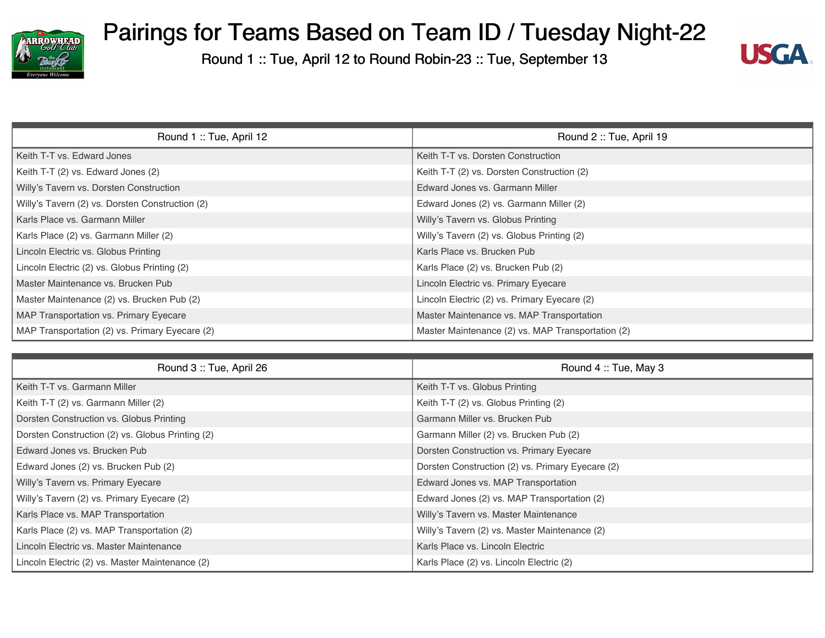



| Round 1: Tue, April 12                          | Round 2: Tue, April 19                            |
|-------------------------------------------------|---------------------------------------------------|
| Keith T-T vs. Edward Jones                      | Keith T-T vs. Dorsten Construction                |
| Keith T-T (2) vs. Edward Jones (2)              | Keith T-T (2) vs. Dorsten Construction (2)        |
| Willy's Tavern vs. Dorsten Construction         | Edward Jones vs. Garmann Miller                   |
| Willy's Tavern (2) vs. Dorsten Construction (2) | Edward Jones (2) vs. Garmann Miller (2)           |
| Karls Place vs. Garmann Miller                  | Willy's Tavern vs. Globus Printing                |
| Karls Place (2) vs. Garmann Miller (2)          | Willy's Tavern (2) vs. Globus Printing (2)        |
| Lincoln Electric vs. Globus Printing            | Karls Place vs. Brucken Pub                       |
| Lincoln Electric (2) vs. Globus Printing (2)    | Karls Place (2) vs. Brucken Pub (2)               |
| Master Maintenance vs. Brucken Pub              | Lincoln Electric vs. Primary Eyecare              |
| Master Maintenance (2) vs. Brucken Pub (2)      | Lincoln Electric (2) vs. Primary Eyecare (2)      |
| MAP Transportation vs. Primary Eyecare          | Master Maintenance vs. MAP Transportation         |
| MAP Transportation (2) vs. Primary Eyecare (2)  | Master Maintenance (2) vs. MAP Transportation (2) |

| Round 3: Tue, April 26                           | Round 4: Tue, May 3                              |
|--------------------------------------------------|--------------------------------------------------|
| Keith T-T vs. Garmann Miller                     | Keith T-T vs. Globus Printing                    |
| Keith T-T (2) vs. Garmann Miller (2)             | Keith T-T (2) vs. Globus Printing (2)            |
| Dorsten Construction vs. Globus Printing         | Garmann Miller vs. Brucken Pub                   |
| Dorsten Construction (2) vs. Globus Printing (2) | Garmann Miller (2) vs. Brucken Pub (2)           |
| Edward Jones vs. Brucken Pub                     | Dorsten Construction vs. Primary Eyecare         |
| Edward Jones (2) vs. Brucken Pub (2)             | Dorsten Construction (2) vs. Primary Eyecare (2) |
| Willy's Tavern vs. Primary Eyecare               | Edward Jones vs. MAP Transportation              |
| Willy's Tavern (2) vs. Primary Eyecare (2)       | Edward Jones (2) vs. MAP Transportation (2)      |
| Karls Place vs. MAP Transportation               | Willy's Tavern vs. Master Maintenance            |
| Karls Place (2) vs. MAP Transportation (2)       | Willy's Tavern (2) vs. Master Maintenance (2)    |
| Lincoln Electric vs. Master Maintenance          | Karls Place vs. Lincoln Electric                 |
| Lincoln Electric (2) vs. Master Maintenance (2)  | Karls Place (2) vs. Lincoln Electric (2)         |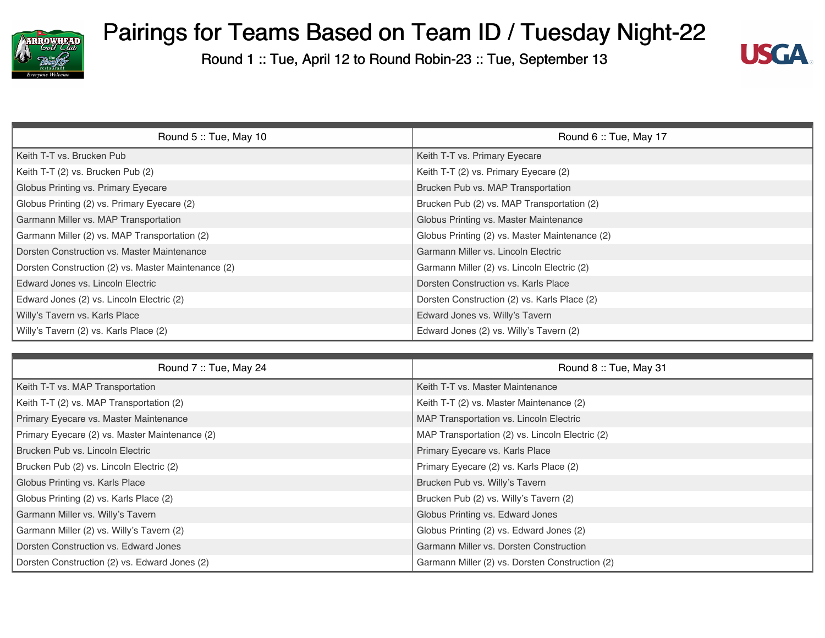



| Round 5: Tue, May 10                                | Round 6: Tue, May 17                           |
|-----------------------------------------------------|------------------------------------------------|
| Keith T-T vs. Brucken Pub                           | Keith T-T vs. Primary Eyecare                  |
| Keith T-T (2) vs. Brucken Pub (2)                   | Keith T-T (2) vs. Primary Eyecare (2)          |
| Globus Printing vs. Primary Eyecare                 | Brucken Pub vs. MAP Transportation             |
| Globus Printing (2) vs. Primary Eyecare (2)         | Brucken Pub (2) vs. MAP Transportation (2)     |
| Garmann Miller vs. MAP Transportation               | Globus Printing vs. Master Maintenance         |
| Garmann Miller (2) vs. MAP Transportation (2)       | Globus Printing (2) vs. Master Maintenance (2) |
| Dorsten Construction vs. Master Maintenance         | Garmann Miller vs. Lincoln Electric            |
| Dorsten Construction (2) vs. Master Maintenance (2) | Garmann Miller (2) vs. Lincoln Electric (2)    |
| Edward Jones vs. Lincoln Electric                   | Dorsten Construction vs. Karls Place           |
| Edward Jones (2) vs. Lincoln Electric (2)           | Dorsten Construction (2) vs. Karls Place (2)   |
| Willy's Tavern vs. Karls Place                      | Edward Jones vs. Willy's Tavern                |
| Willy's Tavern (2) vs. Karls Place (2)              | Edward Jones (2) vs. Willy's Tavern (2)        |

| Round 7: Tue, May 24                           | Round 8: Tue, May 31                            |
|------------------------------------------------|-------------------------------------------------|
| Keith T-T vs. MAP Transportation               | Keith T-T vs. Master Maintenance                |
| Keith T-T (2) vs. MAP Transportation (2)       | Keith T-T (2) vs. Master Maintenance (2)        |
| Primary Eyecare vs. Master Maintenance         | MAP Transportation vs. Lincoln Electric         |
| Primary Eyecare (2) vs. Master Maintenance (2) | MAP Transportation (2) vs. Lincoln Electric (2) |
| Brucken Pub vs. Lincoln Electric               | Primary Eyecare vs. Karls Place                 |
| Brucken Pub (2) vs. Lincoln Electric (2)       | Primary Eyecare (2) vs. Karls Place (2)         |
| Globus Printing vs. Karls Place                | Brucken Pub vs. Willy's Tavern                  |
| Globus Printing (2) vs. Karls Place (2)        | Brucken Pub (2) vs. Willy's Tavern (2)          |
| Garmann Miller vs. Willy's Tavern              | Globus Printing vs. Edward Jones                |
| Garmann Miller (2) vs. Willy's Tavern (2)      | Globus Printing (2) vs. Edward Jones (2)        |
| Dorsten Construction vs. Edward Jones          | Garmann Miller vs. Dorsten Construction         |
| Dorsten Construction (2) vs. Edward Jones (2)  | Garmann Miller (2) vs. Dorsten Construction (2) |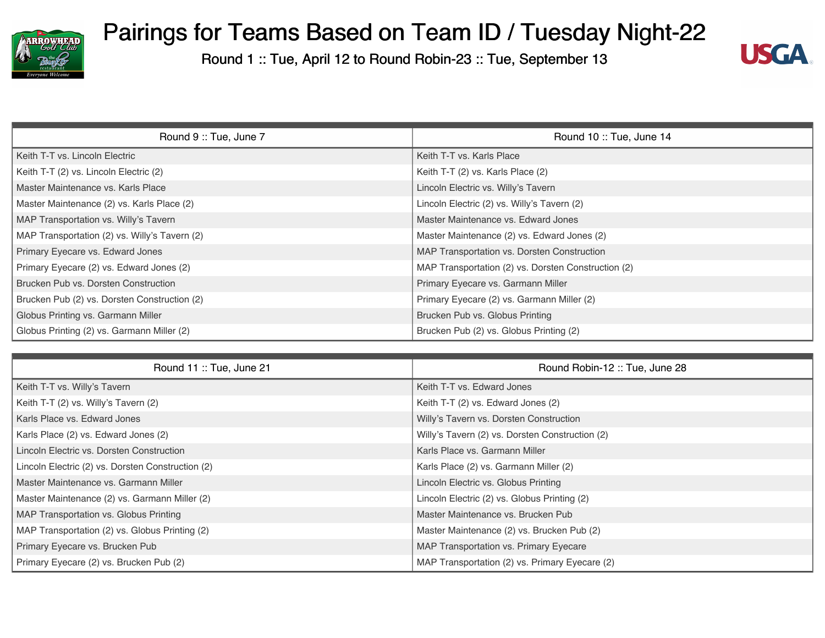



| Round 9: Tue, June 7                          | Round 10: Tue, June 14                              |
|-----------------------------------------------|-----------------------------------------------------|
| Keith T-T vs. Lincoln Electric                | Keith T-T vs. Karls Place                           |
| Keith T-T (2) vs. Lincoln Electric (2)        | Keith T-T (2) vs. Karls Place (2)                   |
| Master Maintenance vs. Karls Place            | Lincoln Electric vs. Willy's Tavern                 |
| Master Maintenance (2) vs. Karls Place (2)    | Lincoln Electric (2) vs. Willy's Tavern (2)         |
| MAP Transportation vs. Willy's Tavern         | Master Maintenance vs. Edward Jones                 |
| MAP Transportation (2) vs. Willy's Tavern (2) | Master Maintenance (2) vs. Edward Jones (2)         |
| Primary Eyecare vs. Edward Jones              | MAP Transportation vs. Dorsten Construction         |
| Primary Eyecare (2) vs. Edward Jones (2)      | MAP Transportation (2) vs. Dorsten Construction (2) |
| Brucken Pub vs. Dorsten Construction          | Primary Eyecare vs. Garmann Miller                  |
| Brucken Pub (2) vs. Dorsten Construction (2)  | Primary Eyecare (2) vs. Garmann Miller (2)          |
| Globus Printing vs. Garmann Miller            | Brucken Pub vs. Globus Printing                     |
| Globus Printing (2) vs. Garmann Miller (2)    | Brucken Pub (2) vs. Globus Printing (2)             |

| Round 11 :: Tue, June 21                          | Round Robin-12: Tue, June 28                    |
|---------------------------------------------------|-------------------------------------------------|
| Keith T-T vs. Willy's Tavern                      | Keith T-T vs. Edward Jones                      |
| Keith T-T (2) vs. Willy's Tavern (2)              | Keith T-T (2) vs. Edward Jones (2)              |
| Karls Place vs. Edward Jones                      | Willy's Tavern vs. Dorsten Construction         |
| Karls Place (2) vs. Edward Jones (2)              | Willy's Tavern (2) vs. Dorsten Construction (2) |
| Lincoln Electric vs. Dorsten Construction         | Karls Place vs. Garmann Miller                  |
| Lincoln Electric (2) vs. Dorsten Construction (2) | Karls Place (2) vs. Garmann Miller (2)          |
| Master Maintenance vs. Garmann Miller             | Lincoln Electric vs. Globus Printing            |
| Master Maintenance (2) vs. Garmann Miller (2)     | Lincoln Electric (2) vs. Globus Printing (2)    |
| MAP Transportation vs. Globus Printing            | Master Maintenance vs. Brucken Pub              |
| MAP Transportation (2) vs. Globus Printing (2)    | Master Maintenance (2) vs. Brucken Pub (2)      |
| Primary Eyecare vs. Brucken Pub                   | MAP Transportation vs. Primary Eyecare          |
| Primary Eyecare (2) vs. Brucken Pub (2)           | MAP Transportation (2) vs. Primary Eyecare (2)  |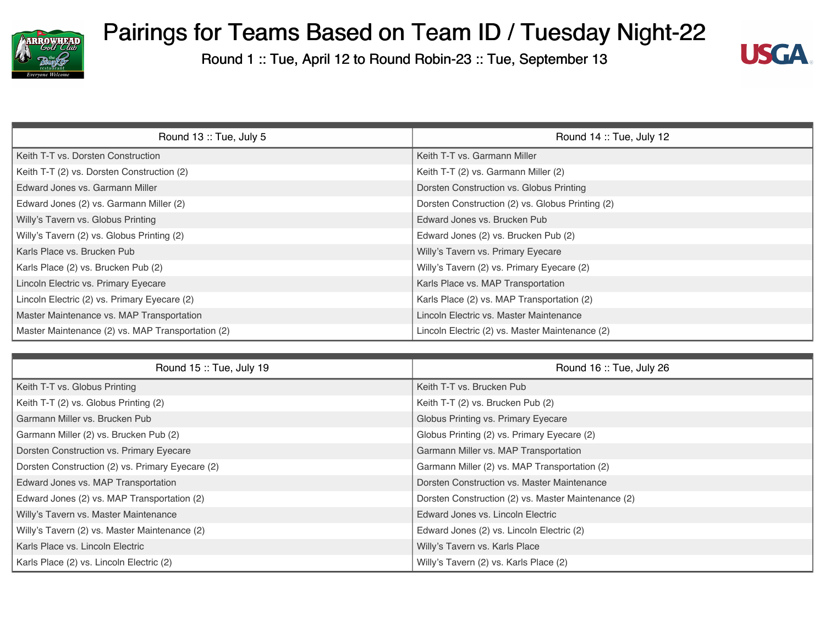



| Round 13: Tue, July 5                             | Round 14 :: Tue, July 12                         |
|---------------------------------------------------|--------------------------------------------------|
| Keith T-T vs. Dorsten Construction                | Keith T-T vs. Garmann Miller                     |
| Keith T-T (2) vs. Dorsten Construction (2)        | Keith T-T (2) vs. Garmann Miller (2)             |
| Edward Jones vs. Garmann Miller                   | Dorsten Construction vs. Globus Printing         |
| Edward Jones (2) vs. Garmann Miller (2)           | Dorsten Construction (2) vs. Globus Printing (2) |
| Willy's Tavern vs. Globus Printing                | Edward Jones vs. Brucken Pub                     |
| Willy's Tavern (2) vs. Globus Printing (2)        | Edward Jones (2) vs. Brucken Pub (2)             |
| Karls Place vs. Brucken Pub                       | Willy's Tavern vs. Primary Eyecare               |
| Karls Place (2) vs. Brucken Pub (2)               | Willy's Tavern (2) vs. Primary Eyecare (2)       |
| Lincoln Electric vs. Primary Eyecare              | Karls Place vs. MAP Transportation               |
| Lincoln Electric (2) vs. Primary Eyecare (2)      | Karls Place (2) vs. MAP Transportation (2)       |
| Master Maintenance vs. MAP Transportation         | Lincoln Electric vs. Master Maintenance          |
| Master Maintenance (2) vs. MAP Transportation (2) | Lincoln Electric (2) vs. Master Maintenance (2)  |

| Round 15: Tue, July 19                           | Round 16: Tue, July 26                              |
|--------------------------------------------------|-----------------------------------------------------|
| Keith T-T vs. Globus Printing                    | Keith T-T vs. Brucken Pub                           |
| Keith T-T (2) vs. Globus Printing (2)            | Keith T-T (2) vs. Brucken Pub (2)                   |
| Garmann Miller vs. Brucken Pub                   | Globus Printing vs. Primary Eyecare                 |
| Garmann Miller (2) vs. Brucken Pub (2)           | Globus Printing (2) vs. Primary Eyecare (2)         |
| Dorsten Construction vs. Primary Eyecare         | Garmann Miller vs. MAP Transportation               |
| Dorsten Construction (2) vs. Primary Eyecare (2) | Garmann Miller (2) vs. MAP Transportation (2)       |
| Edward Jones vs. MAP Transportation              | Dorsten Construction vs. Master Maintenance         |
| Edward Jones (2) vs. MAP Transportation (2)      | Dorsten Construction (2) vs. Master Maintenance (2) |
| Willy's Tavern vs. Master Maintenance            | Edward Jones vs. Lincoln Electric                   |
| Willy's Tavern (2) vs. Master Maintenance (2)    | Edward Jones (2) vs. Lincoln Electric (2)           |
| Karls Place vs. Lincoln Electric                 | Willy's Tavern vs. Karls Place                      |
| Karls Place (2) vs. Lincoln Electric (2)         | Willy's Tavern (2) vs. Karls Place (2)              |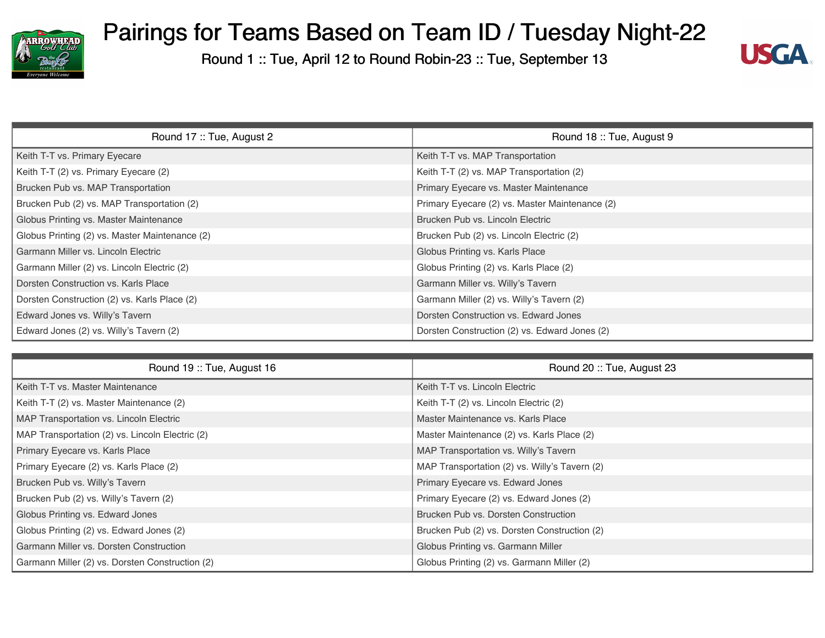



| Round 17: Tue, August 2                        | Round 18: Tue, August 9                        |
|------------------------------------------------|------------------------------------------------|
| Keith T-T vs. Primary Eyecare                  | Keith T-T vs. MAP Transportation               |
| Keith T-T (2) vs. Primary Eyecare (2)          | Keith T-T (2) vs. MAP Transportation (2)       |
| Brucken Pub vs. MAP Transportation             | Primary Eyecare vs. Master Maintenance         |
| Brucken Pub (2) vs. MAP Transportation (2)     | Primary Eyecare (2) vs. Master Maintenance (2) |
| Globus Printing vs. Master Maintenance         | Brucken Pub vs. Lincoln Electric               |
| Globus Printing (2) vs. Master Maintenance (2) | Brucken Pub (2) vs. Lincoln Electric (2)       |
| Garmann Miller vs. Lincoln Electric            | Globus Printing vs. Karls Place                |
| Garmann Miller (2) vs. Lincoln Electric (2)    | Globus Printing (2) vs. Karls Place (2)        |
| Dorsten Construction vs. Karls Place           | Garmann Miller vs. Willy's Tavern              |
| Dorsten Construction (2) vs. Karls Place (2)   | Garmann Miller (2) vs. Willy's Tavern (2)      |
| Edward Jones vs. Willy's Tavern                | Dorsten Construction vs. Edward Jones          |
| Edward Jones (2) vs. Willy's Tavern (2)        | Dorsten Construction (2) vs. Edward Jones (2)  |

| Round 19: Tue, August 16                        | Round 20: Tue, August 23                      |
|-------------------------------------------------|-----------------------------------------------|
| Keith T-T vs. Master Maintenance                | Keith T-T vs. Lincoln Electric                |
| Keith T-T (2) vs. Master Maintenance (2)        | Keith T-T (2) vs. Lincoln Electric (2)        |
| MAP Transportation vs. Lincoln Electric         | Master Maintenance vs. Karls Place            |
| MAP Transportation (2) vs. Lincoln Electric (2) | Master Maintenance (2) vs. Karls Place (2)    |
| Primary Eyecare vs. Karls Place                 | MAP Transportation vs. Willy's Tavern         |
| Primary Eyecare (2) vs. Karls Place (2)         | MAP Transportation (2) vs. Willy's Tavern (2) |
| Brucken Pub vs. Willy's Tavern                  | Primary Eyecare vs. Edward Jones              |
| Brucken Pub (2) vs. Willy's Tavern (2)          | Primary Eyecare (2) vs. Edward Jones (2)      |
| Globus Printing vs. Edward Jones                | Brucken Pub vs. Dorsten Construction          |
| Globus Printing (2) vs. Edward Jones (2)        | Brucken Pub (2) vs. Dorsten Construction (2)  |
| <b>Garmann Miller vs. Dorsten Construction</b>  | Globus Printing vs. Garmann Miller            |
| Garmann Miller (2) vs. Dorsten Construction (2) | Globus Printing (2) vs. Garmann Miller (2)    |